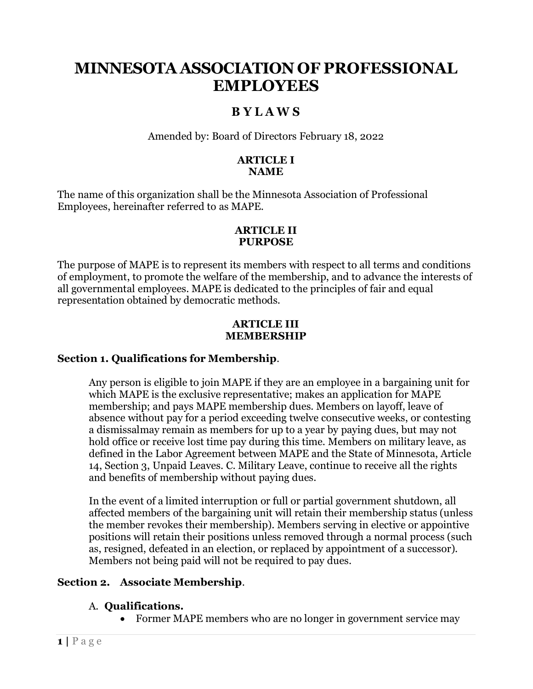# **MINNESOTA ASSOCIATION OF PROFESSIONAL EMPLOYEES**

## **B Y L A W S**

Amended by: Board of Directors February 18, 2022

### **ARTICLE I NAME**

The name of this organization shall be the Minnesota Association of Professional Employees, hereinafter referred to as MAPE.

### **ARTICLE II PURPOSE**

The purpose of MAPE is to represent its members with respect to all terms and conditions of employment, to promote the welfare of the membership, and to advance the interests of all governmental employees. MAPE is dedicated to the principles of fair and equal representation obtained by democratic methods.

#### **ARTICLE III MEMBERSHIP**

## **Section 1. Qualifications for Membership**.

Any person is eligible to join MAPE if they are an employee in a bargaining unit for which MAPE is the exclusive representative; makes an application for MAPE membership; and pays MAPE membership dues. Members on layoff, leave of absence without pay for a period exceeding twelve consecutive weeks, or contesting a dismissalmay remain as members for up to a year by paying dues, but may not hold office or receive lost time pay during this time. Members on military leave, as defined in the Labor Agreement between MAPE and the State of Minnesota, Article 14, Section 3, Unpaid Leaves. C. Military Leave, continue to receive all the rights and benefits of membership without paying dues.

In the event of a limited interruption or full or partial government shutdown, all affected members of the bargaining unit will retain their membership status (unless the member revokes their membership). Members serving in elective or appointive positions will retain their positions unless removed through a normal process (such as, resigned, defeated in an election, or replaced by appointment of a successor). Members not being paid will not be required to pay dues.

## **Section 2. Associate Membership**.

## A. **Qualifications.**

• Former MAPE members who are no longer in government service may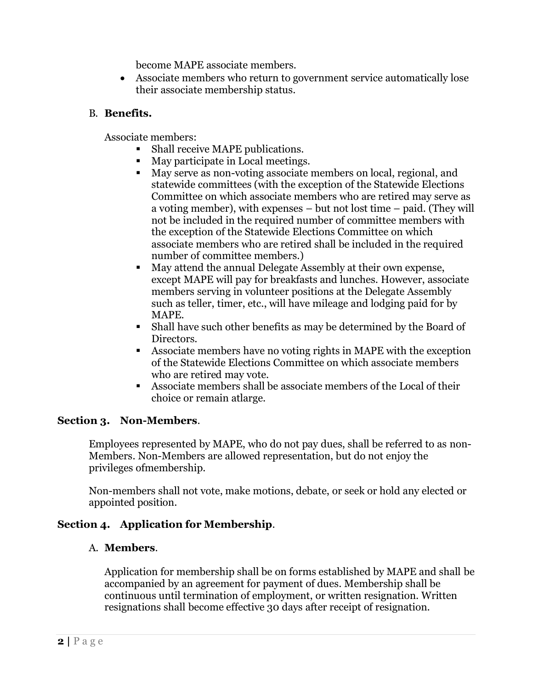become MAPE associate members.

• Associate members who return to government service automatically lose their associate membership status.

## B. **Benefits.**

Associate members:

- Shall receive MAPE publications.
- May participate in Local meetings.
- May serve as non-voting associate members on local, regional, and statewide committees (with the exception of the Statewide Elections Committee on which associate members who are retired may serve as a voting member), with expenses – but not lost time – paid. (They will not be included in the required number of committee members with the exception of the Statewide Elections Committee on which associate members who are retired shall be included in the required number of committee members.)
- May attend the annual Delegate Assembly at their own expense, except MAPE will pay for breakfasts and lunches. However, associate members serving in volunteer positions at the Delegate Assembly such as teller, timer, etc., will have mileage and lodging paid for by MAPE.
- Shall have such other benefits as may be determined by the Board of Directors.
- Associate members have no voting rights in MAPE with the exception of the Statewide Elections Committee on which associate members who are retired may vote.
- Associate members shall be associate members of the Local of their choice or remain atlarge.

## **Section 3. Non-Members**.

Employees represented by MAPE, who do not pay dues, shall be referred to as non-Members. Non-Members are allowed representation, but do not enjoy the privileges ofmembership.

Non-members shall not vote, make motions, debate, or seek or hold any elected or appointed position.

## **Section 4. Application for Membership**.

## A. **Members**.

Application for membership shall be on forms established by MAPE and shall be accompanied by an agreement for payment of dues. Membership shall be continuous until termination of employment, or written resignation. Written resignations shall become effective 30 days after receipt of resignation.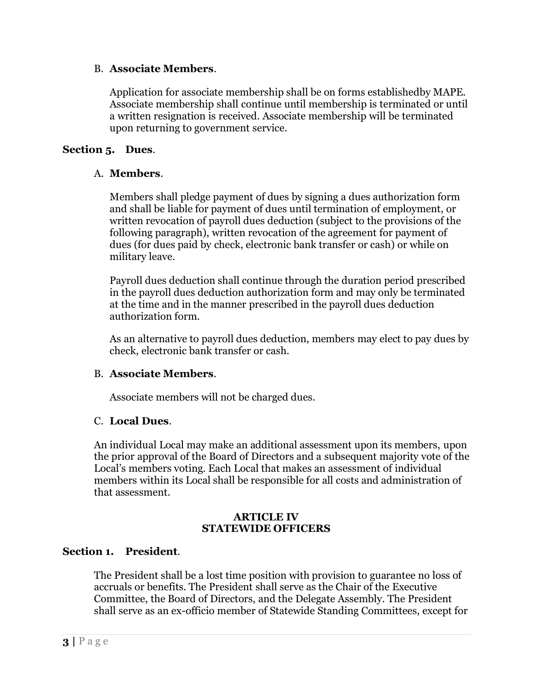#### B. **Associate Members**.

Application for associate membership shall be on forms establishedby MAPE. Associate membership shall continue until membership is terminated or until a written resignation is received. Associate membership will be terminated upon returning to government service.

#### **Section 5. Dues**.

#### A. **Members**.

Members shall pledge payment of dues by signing a dues authorization form and shall be liable for payment of dues until termination of employment, or written revocation of payroll dues deduction (subject to the provisions of the following paragraph), written revocation of the agreement for payment of dues (for dues paid by check, electronic bank transfer or cash) or while on military leave.

Payroll dues deduction shall continue through the duration period prescribed in the payroll dues deduction authorization form and may only be terminated at the time and in the manner prescribed in the payroll dues deduction authorization form.

As an alternative to payroll dues deduction, members may elect to pay dues by check, electronic bank transfer or cash.

#### B. **Associate Members**.

Associate members will not be charged dues.

#### C. **Local Dues**.

An individual Local may make an additional assessment upon its members, upon the prior approval of the Board of Directors and a subsequent majority vote of the Local's members voting. Each Local that makes an assessment of individual members within its Local shall be responsible for all costs and administration of that assessment.

#### **ARTICLE IV STATEWIDE OFFICERS**

#### **Section 1. President**.

The President shall be a lost time position with provision to guarantee no loss of accruals or benefits. The President shall serve as the Chair of the Executive Committee, the Board of Directors, and the Delegate Assembly. The President shall serve as an ex-officio member of Statewide Standing Committees, except for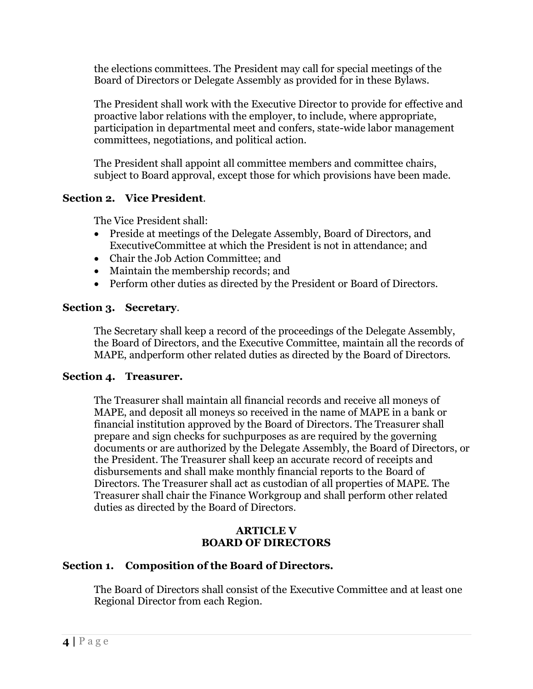the elections committees. The President may call for special meetings of the Board of Directors or Delegate Assembly as provided for in these Bylaws.

The President shall work with the Executive Director to provide for effective and proactive labor relations with the employer, to include, where appropriate, participation in departmental meet and confers, state-wide labor management committees, negotiations, and political action.

The President shall appoint all committee members and committee chairs, subject to Board approval, except those for which provisions have been made.

## **Section 2. Vice President**.

The Vice President shall:

- Preside at meetings of the Delegate Assembly, Board of Directors, and ExecutiveCommittee at which the President is not in attendance; and
- Chair the Job Action Committee; and
- Maintain the membership records; and
- Perform other duties as directed by the President or Board of Directors.

## **Section 3. Secretary**.

The Secretary shall keep a record of the proceedings of the Delegate Assembly, the Board of Directors, and the Executive Committee, maintain all the records of MAPE, andperform other related duties as directed by the Board of Directors.

## **Section 4. Treasurer.**

The Treasurer shall maintain all financial records and receive all moneys of MAPE, and deposit all moneys so received in the name of MAPE in a bank or financial institution approved by the Board of Directors. The Treasurer shall prepare and sign checks for suchpurposes as are required by the governing documents or are authorized by the Delegate Assembly, the Board of Directors, or the President. The Treasurer shall keep an accurate record of receipts and disbursements and shall make monthly financial reports to the Board of Directors. The Treasurer shall act as custodian of all properties of MAPE. The Treasurer shall chair the Finance Workgroup and shall perform other related duties as directed by the Board of Directors.

## **ARTICLE V BOARD OF DIRECTORS**

## **Section 1. Composition of the Board of Directors.**

The Board of Directors shall consist of the Executive Committee and at least one Regional Director from each Region.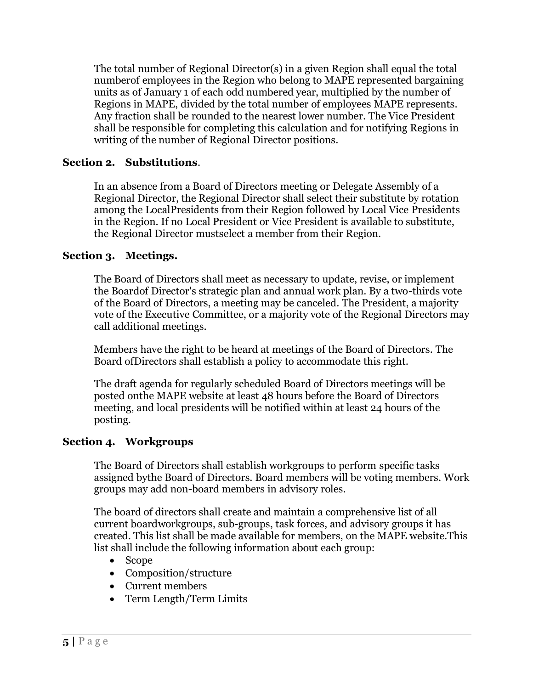The total number of Regional Director(s) in a given Region shall equal the total numberof employees in the Region who belong to MAPE represented bargaining units as of January 1 of each odd numbered year, multiplied by the number of Regions in MAPE, divided by the total number of employees MAPE represents. Any fraction shall be rounded to the nearest lower number. The Vice President shall be responsible for completing this calculation and for notifying Regions in writing of the number of Regional Director positions.

### **Section 2. Substitutions**.

In an absence from a Board of Directors meeting or Delegate Assembly of a Regional Director, the Regional Director shall select their substitute by rotation among the LocalPresidents from their Region followed by Local Vice Presidents in the Region. If no Local President or Vice President is available to substitute, the Regional Director mustselect a member from their Region.

### **Section 3. Meetings.**

The Board of Directors shall meet as necessary to update, revise, or implement the Boardof Director's strategic plan and annual work plan. By a two-thirds vote of the Board of Directors, a meeting may be canceled. The President, a majority vote of the Executive Committee, or a majority vote of the Regional Directors may call additional meetings.

Members have the right to be heard at meetings of the Board of Directors. The Board ofDirectors shall establish a policy to accommodate this right.

The draft agenda for regularly scheduled Board of Directors meetings will be posted onthe MAPE website at least 48 hours before the Board of Directors meeting, and local presidents will be notified within at least 24 hours of the posting.

#### **Section 4. Workgroups**

The Board of Directors shall establish workgroups to perform specific tasks assigned bythe Board of Directors. Board members will be voting members. Work groups may add non-board members in advisory roles.

The board of directors shall create and maintain a comprehensive list of all current boardworkgroups, sub-groups, task forces, and advisory groups it has created. This list shall be made available for members, on the MAPE website.This list shall include the following information about each group:

- Scope
- Composition/structure
- Current members
- Term Length/Term Limits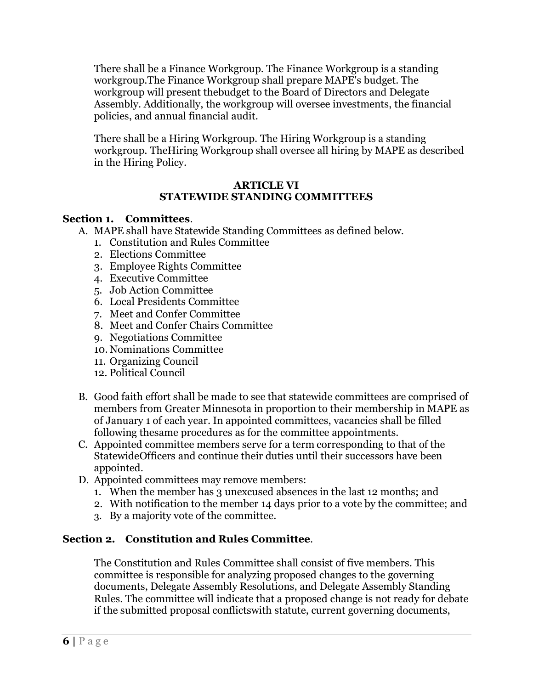There shall be a Finance Workgroup. The Finance Workgroup is a standing workgroup.The Finance Workgroup shall prepare MAPE's budget. The workgroup will present thebudget to the Board of Directors and Delegate Assembly. Additionally, the workgroup will oversee investments, the financial policies, and annual financial audit.

There shall be a Hiring Workgroup. The Hiring Workgroup is a standing workgroup. TheHiring Workgroup shall oversee all hiring by MAPE as described in the Hiring Policy.

#### **ARTICLE VI STATEWIDE STANDING COMMITTEES**

#### **Section 1. Committees**.

- A. MAPE shall have Statewide Standing Committees as defined below.
	- 1. Constitution and Rules Committee
	- 2. Elections Committee
	- 3. Employee Rights Committee
	- 4. Executive Committee
	- 5. Job Action Committee
	- 6. Local Presidents Committee
	- 7. Meet and Confer Committee
	- 8. Meet and Confer Chairs Committee
	- 9. Negotiations Committee
	- 10. Nominations Committee
	- 11. Organizing Council
	- 12. Political Council
- B. Good faith effort shall be made to see that statewide committees are comprised of members from Greater Minnesota in proportion to their membership in MAPE as of January 1 of each year. In appointed committees, vacancies shall be filled following thesame procedures as for the committee appointments.
- C. Appointed committee members serve for a term corresponding to that of the StatewideOfficers and continue their duties until their successors have been appointed.
- D. Appointed committees may remove members:
	- 1. When the member has 3 unexcused absences in the last 12 months; and
	- 2. With notification to the member 14 days prior to a vote by the committee; and
	- 3. By a majority vote of the committee.

## **Section 2. Constitution and Rules Committee**.

The Constitution and Rules Committee shall consist of five members. This committee is responsible for analyzing proposed changes to the governing documents, Delegate Assembly Resolutions, and Delegate Assembly Standing Rules. The committee will indicate that a proposed change is not ready for debate if the submitted proposal conflictswith statute, current governing documents,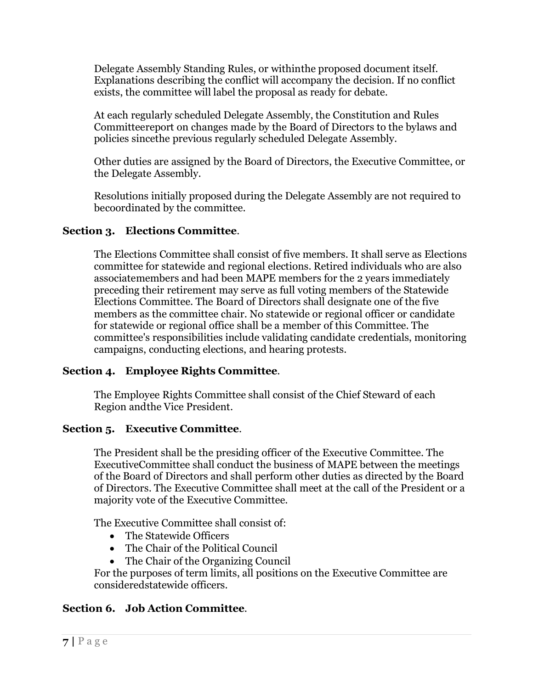Delegate Assembly Standing Rules, or withinthe proposed document itself. Explanations describing the conflict will accompany the decision. If no conflict exists, the committee will label the proposal as ready for debate.

At each regularly scheduled Delegate Assembly, the Constitution and Rules Committeereport on changes made by the Board of Directors to the bylaws and policies sincethe previous regularly scheduled Delegate Assembly.

Other duties are assigned by the Board of Directors, the Executive Committee, or the Delegate Assembly.

Resolutions initially proposed during the Delegate Assembly are not required to becoordinated by the committee.

## **Section 3. Elections Committee**.

The Elections Committee shall consist of five members. It shall serve as Elections committee for statewide and regional elections. Retired individuals who are also associatemembers and had been MAPE members for the 2 years immediately preceding their retirement may serve as full voting members of the Statewide Elections Committee. The Board of Directors shall designate one of the five members as the committee chair. No statewide or regional officer or candidate for statewide or regional office shall be a member of this Committee. The committee's responsibilities include validating candidate credentials, monitoring campaigns, conducting elections, and hearing protests.

## **Section 4. Employee Rights Committee**.

The Employee Rights Committee shall consist of the Chief Steward of each Region andthe Vice President.

## **Section 5. Executive Committee**.

The President shall be the presiding officer of the Executive Committee. The ExecutiveCommittee shall conduct the business of MAPE between the meetings of the Board of Directors and shall perform other duties as directed by the Board of Directors. The Executive Committee shall meet at the call of the President or a majority vote of the Executive Committee.

The Executive Committee shall consist of:

- The Statewide Officers
- The Chair of the Political Council
- The Chair of the Organizing Council

For the purposes of term limits, all positions on the Executive Committee are consideredstatewide officers.

## **Section 6. Job Action Committee**.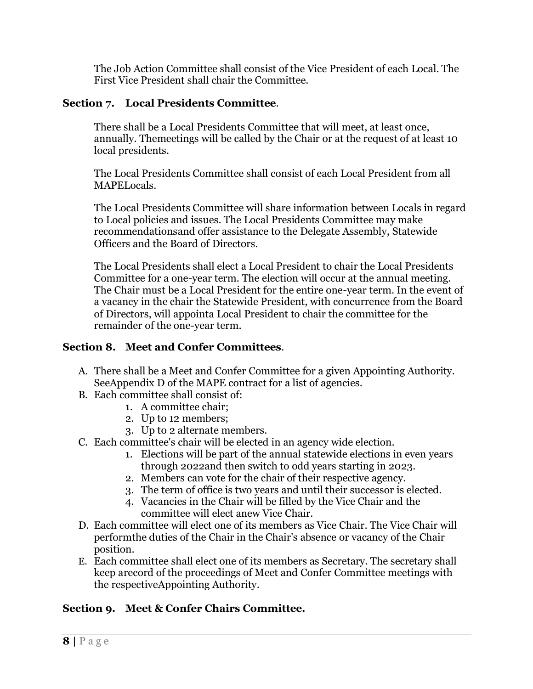The Job Action Committee shall consist of the Vice President of each Local. The First Vice President shall chair the Committee.

## **Section 7. Local Presidents Committee**.

There shall be a Local Presidents Committee that will meet, at least once, annually. Themeetings will be called by the Chair or at the request of at least 10 local presidents.

The Local Presidents Committee shall consist of each Local President from all MAPELocals.

The Local Presidents Committee will share information between Locals in regard to Local policies and issues. The Local Presidents Committee may make recommendationsand offer assistance to the Delegate Assembly, Statewide Officers and the Board of Directors.

The Local Presidents shall elect a Local President to chair the Local Presidents Committee for a one-year term. The election will occur at the annual meeting. The Chair must be a Local President for the entire one-year term. In the event of a vacancy in the chair the Statewide President, with concurrence from the Board of Directors, will appointa Local President to chair the committee for the remainder of the one-year term.

## **Section 8. Meet and Confer Committees**.

- A. There shall be a Meet and Confer Committee for a given Appointing Authority. SeeAppendix D of the MAPE contract for a list of agencies.
- B. Each committee shall consist of:
	- 1. A committee chair;
	- 2. Up to 12 members;
	- 3. Up to 2 alternate members.
- C. Each committee's chair will be elected in an agency wide election.
	- 1. Elections will be part of the annual statewide elections in even years through 2022and then switch to odd years starting in 2023.
	- 2. Members can vote for the chair of their respective agency.
	- 3. The term of office is two years and until their successor is elected.
	- 4. Vacancies in the Chair will be filled by the Vice Chair and the committee will elect anew Vice Chair.
- D. Each committee will elect one of its members as Vice Chair. The Vice Chair will performthe duties of the Chair in the Chair's absence or vacancy of the Chair position.
- E. Each committee shall elect one of its members as Secretary. The secretary shall keep arecord of the proceedings of Meet and Confer Committee meetings with the respectiveAppointing Authority.

## **Section 9. Meet & Confer Chairs Committee.**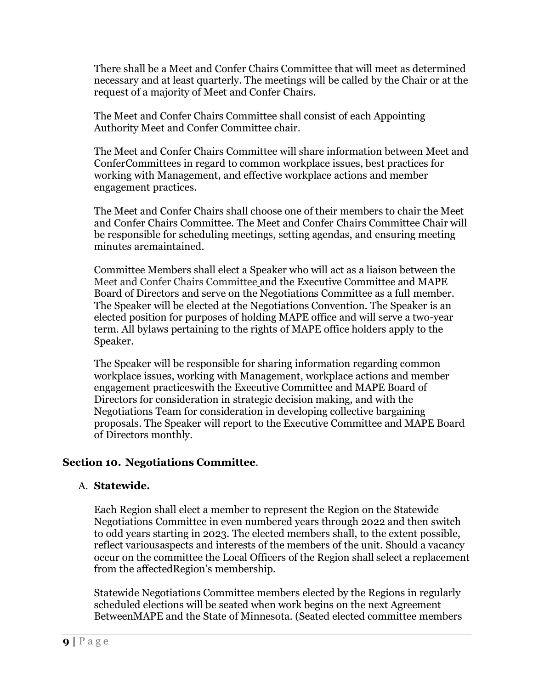There shall be a Meet and Confer Chairs Committee that will meet as determined necessary and at least quarterly. The meetings will be called by the Chair or at the request of a majority of Meet and Confer Chairs.

The Meet and Confer Chairs Committee shall consist of each Appointing Authority Meet and Confer Committee chair.

The Meet and Confer Chairs Committee will share information between Meet and ConferCommittees in regard to common workplace issues, best practices for working with Management, and effective workplace actions and member engagement practices.

The Meet and Confer Chairs shall choose one of their members to chair the Meet and Confer Chairs Committee. The Meet and Confer Chairs Committee Chair will be responsible for scheduling meetings, setting agendas, and ensuring meeting minutes aremaintained.

Committee Members shall elect a Speaker who will act as a liaison between the Meet and Confer Chairs Committee and the Executive Committee and MAPE Board of Directors and serve on the Negotiations Committee as a full member. The Speaker will be elected at the Negotiations Convention. The Speaker is an elected position for purposes of holding MAPE office and will serve a two-year term. All bylaws pertaining to the rights of MAPE office holders apply to the Speaker.

The Speaker will be responsible for sharing information regarding common workplace issues, working with Management, workplace actions and member engagement practiceswith the Executive Committee and MAPE Board of Directors for consideration in strategic decision making, and with the Negotiations Team for consideration in developing collective bargaining proposals. The Speaker will report to the Executive Committee and MAPE Board of Directors monthly.

## **Section 10. Negotiations Committee**.

## A. **Statewide.**

Each Region shall elect a member to represent the Region on the Statewide Negotiations Committee in even numbered years through 2022 and then switch to odd years starting in 2023. The elected members shall, to the extent possible, reflect variousaspects and interests of the members of the unit. Should a vacancy occur on the committee the Local Officers of the Region shall select a replacement from the affectedRegion's membership.

Statewide Negotiations Committee members elected by the Regions in regularly scheduled elections will be seated when work begins on the next Agreement BetweenMAPE and the State of Minnesota. (Seated elected committee members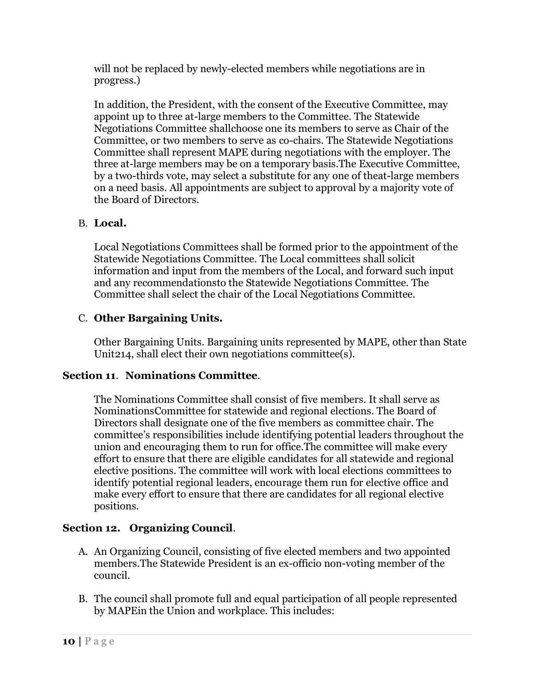will not be replaced by newly-elected members while negotiations are in progress.)

In addition, the President, with the consent of the Executive Committee, may appoint up to three at-large members to the Committee. The Statewide Negotiations Committee shallchoose one its members to serve as Chair of the Committee, or two members to serve as co-chairs. The Statewide Negotiations Committee shall represent MAPE during negotiations with the employer. The three at-large members may be on a temporary basis.The Executive Committee, by a two-thirds vote, may select a substitute for any one of theat-large members on a need basis. All appointments are subject to approval by a majority vote of the Board of Directors.

## B. **Local.**

Local Negotiations Committees shall be formed prior to the appointment of the Statewide Negotiations Committee. The Local committees shall solicit information and input from the members of the Local, and forward such input and any recommendationsto the Statewide Negotiations Committee. The Committee shall select the chair of the Local Negotiations Committee.

## C. **Other Bargaining Units.**

Other Bargaining Units. Bargaining units represented by MAPE, other than State Unit214, shall elect their own negotiations committee(s).

## **Section 11**. **Nominations Committee**.

The Nominations Committee shall consist of five members. It shall serve as NominationsCommittee for statewide and regional elections. The Board of Directors shall designate one of the five members as committee chair. The committee's responsibilities include identifying potential leaders throughout the union and encouraging them to run for office.The committee will make every effort to ensure that there are eligible candidates for all statewide and regional elective positions. The committee will work with local elections committees to identify potential regional leaders, encourage them run for elective office and make every effort to ensure that there are candidates for all regional elective positions.

## **Section 12. Organizing Council**.

- A. An Organizing Council, consisting of five elected members and two appointed members.The Statewide President is an ex-officio non-voting member of the council.
- B. The council shall promote full and equal participation of all people represented by MAPEin the Union and workplace. This includes: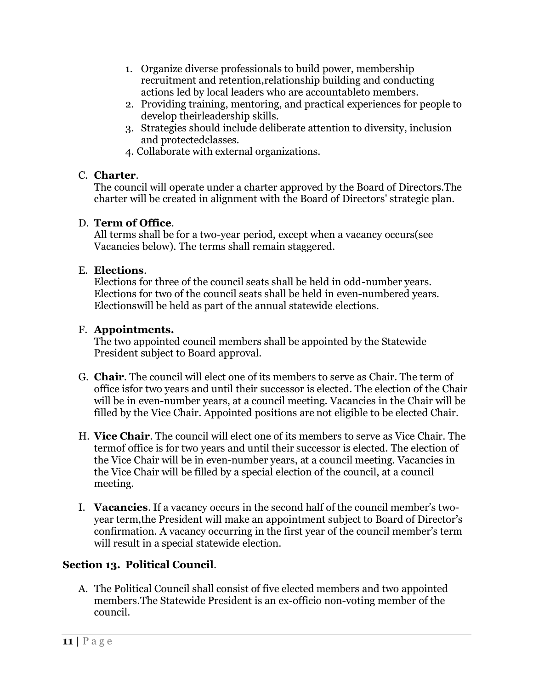- 1. Organize diverse professionals to build power, membership recruitment and retention,relationship building and conducting actions led by local leaders who are accountableto members.
- 2. Providing training, mentoring, and practical experiences for people to develop theirleadership skills.
- 3. Strategies should include deliberate attention to diversity, inclusion and protectedclasses.
- 4. Collaborate with external organizations.

## C. **Charter**.

The council will operate under a charter approved by the Board of Directors.The charter will be created in alignment with the Board of Directors' strategic plan.

## D. **Term of Office**.

All terms shall be for a two-year period, except when a vacancy occurs(see Vacancies below). The terms shall remain staggered.

## E. **Elections**.

Elections for three of the council seats shall be held in odd-number years. Elections for two of the council seats shall be held in even-numbered years. Electionswill be held as part of the annual statewide elections.

## F. **Appointments.**

The two appointed council members shall be appointed by the Statewide President subject to Board approval.

- G. **Chair**. The council will elect one of its members to serve as Chair. The term of office isfor two years and until their successor is elected. The election of the Chair will be in even-number years, at a council meeting. Vacancies in the Chair will be filled by the Vice Chair. Appointed positions are not eligible to be elected Chair.
- H. **Vice Chair**. The council will elect one of its members to serve as Vice Chair. The termof office is for two years and until their successor is elected. The election of the Vice Chair will be in even-number years, at a council meeting. Vacancies in the Vice Chair will be filled by a special election of the council, at a council meeting.
- I. **Vacancies**. If a vacancy occurs in the second half of the council member's twoyear term,the President will make an appointment subject to Board of Director's confirmation. A vacancy occurring in the first year of the council member's term will result in a special statewide election.

## **Section 13. Political Council**.

A. The Political Council shall consist of five elected members and two appointed members.The Statewide President is an ex-officio non-voting member of the council.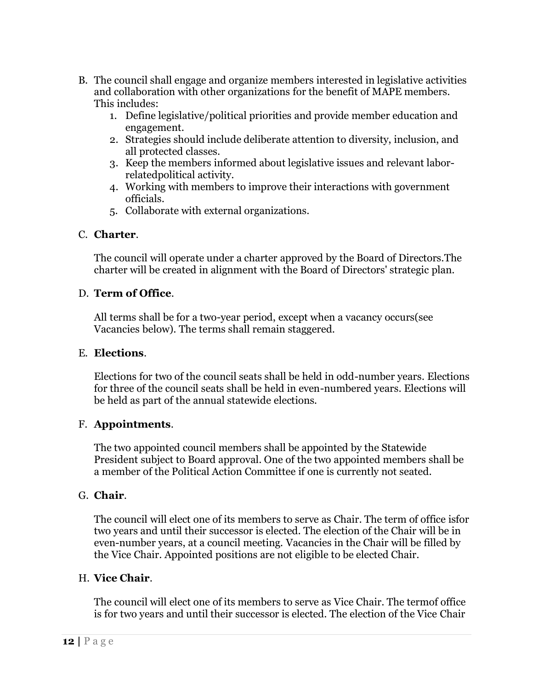- B. The council shall engage and organize members interested in legislative activities and collaboration with other organizations for the benefit of MAPE members. This includes:
	- 1. Define legislative/political priorities and provide member education and engagement.
	- 2. Strategies should include deliberate attention to diversity, inclusion, and all protected classes.
	- 3. Keep the members informed about legislative issues and relevant laborrelatedpolitical activity.
	- 4. Working with members to improve their interactions with government officials.
	- 5. Collaborate with external organizations.

## C. **Charter**.

The council will operate under a charter approved by the Board of Directors.The charter will be created in alignment with the Board of Directors' strategic plan.

## D. **Term of Office**.

All terms shall be for a two-year period, except when a vacancy occurs(see Vacancies below). The terms shall remain staggered.

## E. **Elections**.

Elections for two of the council seats shall be held in odd-number years. Elections for three of the council seats shall be held in even-numbered years. Elections will be held as part of the annual statewide elections.

## F. **Appointments**.

The two appointed council members shall be appointed by the Statewide President subject to Board approval. One of the two appointed members shall be a member of the Political Action Committee if one is currently not seated.

## G. **Chair**.

The council will elect one of its members to serve as Chair. The term of office isfor two years and until their successor is elected. The election of the Chair will be in even-number years, at a council meeting. Vacancies in the Chair will be filled by the Vice Chair. Appointed positions are not eligible to be elected Chair.

## H. **Vice Chair**.

The council will elect one of its members to serve as Vice Chair. The termof office is for two years and until their successor is elected. The election of the Vice Chair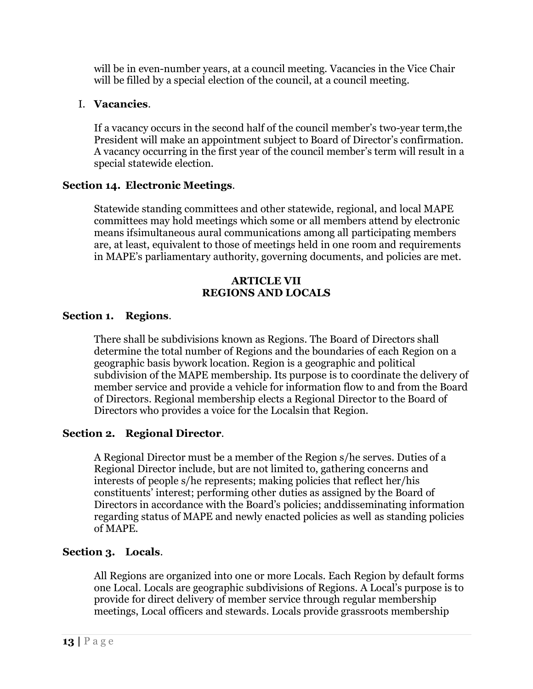will be in even-number years, at a council meeting. Vacancies in the Vice Chair will be filled by a special election of the council, at a council meeting.

## I. **Vacancies**.

If a vacancy occurs in the second half of the council member's two-year term,the President will make an appointment subject to Board of Director's confirmation. A vacancy occurring in the first year of the council member's term will result in a special statewide election.

## **Section 14. Electronic Meetings**.

Statewide standing committees and other statewide, regional, and local MAPE committees may hold meetings which some or all members attend by electronic means ifsimultaneous aural communications among all participating members are, at least, equivalent to those of meetings held in one room and requirements in MAPE's parliamentary authority, governing documents, and policies are met.

### **ARTICLE VII REGIONS AND LOCALS**

## **Section 1. Regions**.

There shall be subdivisions known as Regions. The Board of Directors shall determine the total number of Regions and the boundaries of each Region on a geographic basis bywork location. Region is a geographic and political subdivision of the MAPE membership. Its purpose is to coordinate the delivery of member service and provide a vehicle for information flow to and from the Board of Directors. Regional membership elects a Regional Director to the Board of Directors who provides a voice for the Localsin that Region.

## **Section 2. Regional Director**.

A Regional Director must be a member of the Region s/he serves. Duties of a Regional Director include, but are not limited to, gathering concerns and interests of people s/he represents; making policies that reflect her/his constituents' interest; performing other duties as assigned by the Board of Directors in accordance with the Board's policies; anddisseminating information regarding status of MAPE and newly enacted policies as well as standing policies of MAPE.

## **Section 3. Locals**.

All Regions are organized into one or more Locals. Each Region by default forms one Local. Locals are geographic subdivisions of Regions. A Local's purpose is to provide for direct delivery of member service through regular membership meetings, Local officers and stewards. Locals provide grassroots membership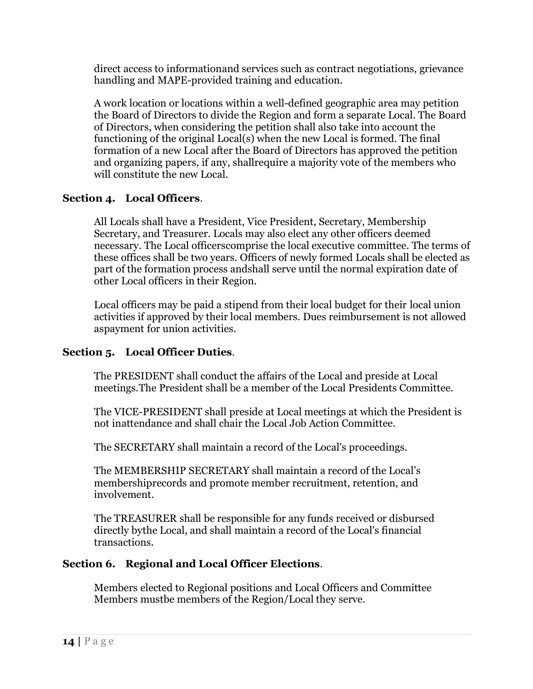direct access to informationand services such as contract negotiations, grievance handling and MAPE-provided training and education.

A work location or locations within a well-defined geographic area may petition the Board of Directors to divide the Region and form a separate Local. The Board of Directors, when considering the petition shall also take into account the functioning of the original Local(s) when the new Local is formed. The final formation of a new Local after the Board of Directors has approved the petition and organizing papers, if any, shallrequire a majority vote of the members who will constitute the new Local.

## **Section 4. Local Officers**.

All Locals shall have a President, Vice President, Secretary, Membership Secretary, and Treasurer. Locals may also elect any other officers deemed necessary. The Local officerscomprise the local executive committee. The terms of these offices shall be two years. Officers of newly formed Locals shall be elected as part of the formation process andshall serve until the normal expiration date of other Local officers in their Region.

Local officers may be paid a stipend from their local budget for their local union activities if approved by their local members. Dues reimbursement is not allowed aspayment for union activities.

## **Section 5. Local Officer Duties**.

The PRESIDENT shall conduct the affairs of the Local and preside at Local meetings.The President shall be a member of the Local Presidents Committee.

The VICE-PRESIDENT shall preside at Local meetings at which the President is not inattendance and shall chair the Local Job Action Committee.

The SECRETARY shall maintain a record of the Local's proceedings.

The MEMBERSHIP SECRETARY shall maintain a record of the Local's membershiprecords and promote member recruitment, retention, and involvement.

The TREASURER shall be responsible for any funds received or disbursed directly bythe Local, and shall maintain a record of the Local's financial transactions.

## **Section 6. Regional and Local Officer Elections**.

Members elected to Regional positions and Local Officers and Committee Members mustbe members of the Region/Local they serve.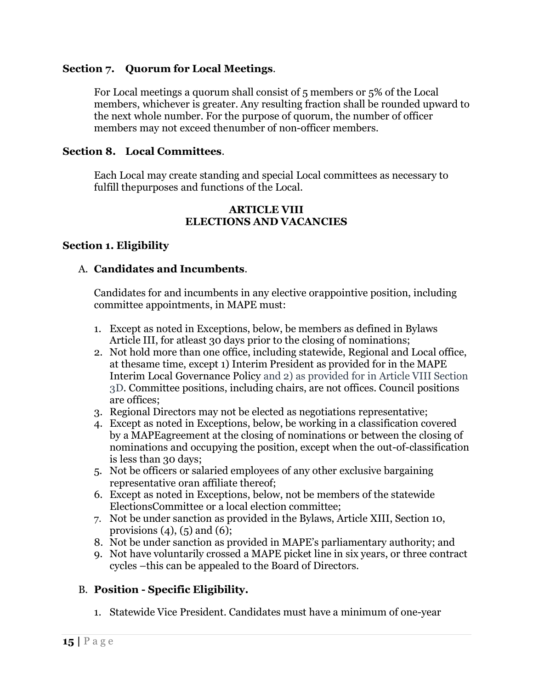### **Section 7. Quorum for Local Meetings**.

For Local meetings a quorum shall consist of 5 members or 5% of the Local members, whichever is greater. Any resulting fraction shall be rounded upward to the next whole number. For the purpose of quorum, the number of officer members may not exceed thenumber of non-officer members.

### **Section 8. Local Committees**.

Each Local may create standing and special Local committees as necessary to fulfill thepurposes and functions of the Local.

#### **ARTICLE VIII ELECTIONS AND VACANCIES**

### **Section 1. Eligibility**

#### A. **Candidates and Incumbents**.

Candidates for and incumbents in any elective orappointive position, including committee appointments, in MAPE must:

- 1. Except as noted in Exceptions, below, be members as defined in Bylaws Article III, for atleast 30 days prior to the closing of nominations;
- 2. Not hold more than one office, including statewide, Regional and Local office, at thesame time, except 1) Interim President as provided for in the MAPE Interim Local Governance Policy and 2) as provided for in Article VIII Section 3D. Committee positions, including chairs, are not offices. Council positions are offices;
- 3. Regional Directors may not be elected as negotiations representative;
- 4. Except as noted in Exceptions, below, be working in a classification covered by a MAPEagreement at the closing of nominations or between the closing of nominations and occupying the position, except when the out-of-classification is less than 30 days;
- 5. Not be officers or salaried employees of any other exclusive bargaining representative oran affiliate thereof;
- 6. Except as noted in Exceptions, below, not be members of the statewide ElectionsCommittee or a local election committee;
- 7. Not be under sanction as provided in the Bylaws, Article XIII, Section 10, provisions  $(4)$ ,  $(5)$  and  $(6)$ ;
- 8. Not be under sanction as provided in MAPE's parliamentary authority; and
- 9. Not have voluntarily crossed a MAPE picket line in six years, or three contract cycles –this can be appealed to the Board of Directors.

#### B. **Position - Specific Eligibility.**

1. Statewide Vice President. Candidates must have a minimum of one-year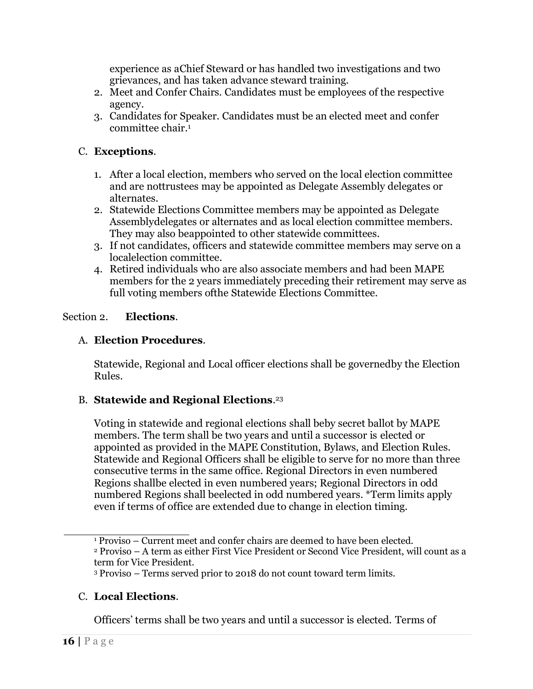experience as aChief Steward or has handled two investigations and two grievances, and has taken advance steward training.

- 2. Meet and Confer Chairs. Candidates must be employees of the respective agency.
- 3. Candidates for Speaker. Candidates must be an elected meet and confer committee chair[.](#page-16-0)<sup>1</sup>

## C. **Exceptions**.

- 1. After a local election, members who served on the local election committee and are nottrustees may be appointed as Delegate Assembly delegates or alternates.
- 2. Statewide Elections Committee members may be appointed as Delegate Assemblydelegates or alternates and as local election committee members. They may also beappointed to other statewide committees.
- 3. If not candidates, officers and statewide committee members may serve on a localelection committee.
- 4. Retired individuals who are also associate members and had been MAPE members for the 2 years immediately preceding their retirement may serve as full voting members ofthe Statewide Elections Committee.

## Section 2. **Elections**.

## A. **Election Procedures**.

Statewide, Regional and Local officer elections shall be governedby the Election Rules.

## B. **Statewide and Regional Elections**. [23](#page-16-0)

Voting in statewide and regional elections shall beby secret ballot by MAPE members. The term shall be two years and until a successor is elected or appointed as provided in the MAPE Constitution, Bylaws, and Election Rules. Statewide and Regional Officers shall be eligible to serve for no more than three consecutive terms in the same office. Regional Directors in even numbered Regions shallbe elected in even numbered years; Regional Directors in odd numbered Regions shall beelected in odd numbered years. \*Term limits apply even if terms of office are extended due to change in election timing.

## C. **Local Elections**.

Officers' terms shall be two years and until a successor is elected. Terms of

<sup>1</sup> Proviso – Current meet and confer chairs are deemed to have been elected. <sup>2</sup> Proviso – A term as either First Vice President or Second Vice President, will count as a

term for Vice President.

<sup>3</sup> Proviso – Terms served prior to 2018 do not count toward term limits.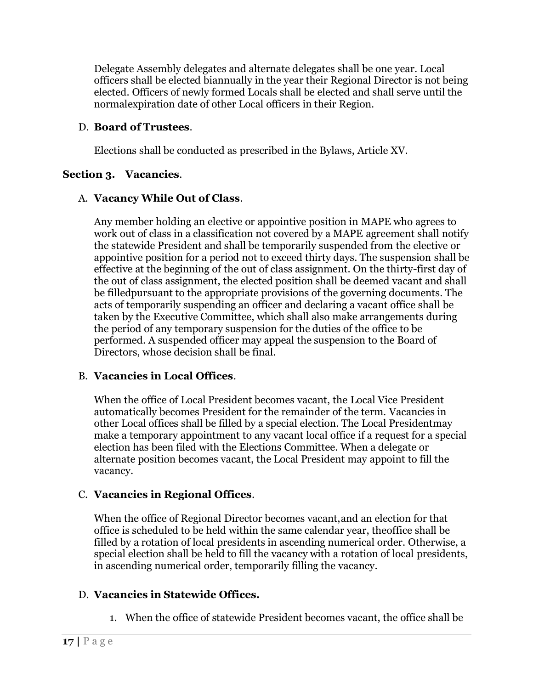<span id="page-16-0"></span>Delegate Assembly delegates and alternate delegates shall be one year. Local officers shall be elected biannually in the year their Regional Director is not being elected. Officers of newly formed Locals shall be elected and shall serve until the normalexpiration date of other Local officers in their Region.

## D. **Board of Trustees**.

Elections shall be conducted as prescribed in the Bylaws, Article XV.

## **Section 3. Vacancies**.

## A. **Vacancy While Out of Class**.

Any member holding an elective or appointive position in MAPE who agrees to work out of class in a classification not covered by a MAPE agreement shall notify the statewide President and shall be temporarily suspended from the elective or appointive position for a period not to exceed thirty days. The suspension shall be effective at the beginning of the out of class assignment. On the thirty-first day of the out of class assignment, the elected position shall be deemed vacant and shall be filledpursuant to the appropriate provisions of the governing documents. The acts of temporarily suspending an officer and declaring a vacant office shall be taken by the Executive Committee, which shall also make arrangements during the period of any temporary suspension for the duties of the office to be performed. A suspended officer may appeal the suspension to the Board of Directors, whose decision shall be final.

## B. **Vacancies in Local Offices**.

When the office of Local President becomes vacant, the Local Vice President automatically becomes President for the remainder of the term. Vacancies in other Local offices shall be filled by a special election. The Local Presidentmay make a temporary appointment to any vacant local office if a request for a special election has been filed with the Elections Committee. When a delegate or alternate position becomes vacant, the Local President may appoint to fill the vacancy.

## C. **Vacancies in Regional Offices**.

When the office of Regional Director becomes vacant,and an election for that office is scheduled to be held within the same calendar year, theoffice shall be filled by a rotation of local presidents in ascending numerical order. Otherwise, a special election shall be held to fill the vacancy with a rotation of local presidents, in ascending numerical order, temporarily filling the vacancy.

## D. **Vacancies in Statewide Offices.**

1. When the office of statewide President becomes vacant, the office shall be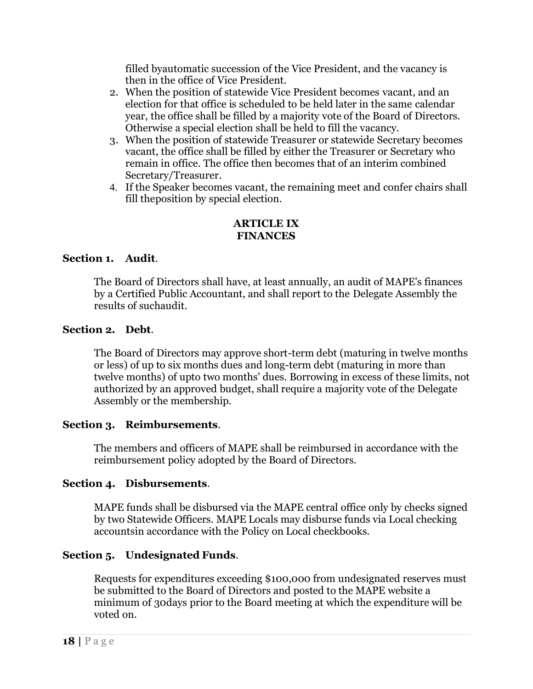filled byautomatic succession of the Vice President, and the vacancy is then in the office of Vice President.

- 2. When the position of statewide Vice President becomes vacant, and an election for that office is scheduled to be held later in the same calendar year, the office shall be filled by a majority vote of the Board of Directors. Otherwise a special election shall be held to fill the vacancy.
- 3. When the position of statewide Treasurer or statewide Secretary becomes vacant, the office shall be filled by either the Treasurer or Secretary who remain in office. The office then becomes that of an interim combined Secretary/Treasurer.
- 4. If the Speaker becomes vacant, the remaining meet and confer chairs shall fill theposition by special election.

### **ARTICLE IX FINANCES**

## **Section 1. Audit**.

The Board of Directors shall have, at least annually, an audit of MAPE's finances by a Certified Public Accountant, and shall report to the Delegate Assembly the results of suchaudit.

## **Section 2. Debt**.

The Board of Directors may approve short-term debt (maturing in twelve months or less) of up to six months dues and long-term debt (maturing in more than twelve months) of upto two months' dues. Borrowing in excess of these limits, not authorized by an approved budget, shall require a majority vote of the Delegate Assembly or the membership.

## **Section 3. Reimbursements**.

The members and officers of MAPE shall be reimbursed in accordance with the reimbursement policy adopted by the Board of Directors.

#### **Section 4. Disbursements**.

MAPE funds shall be disbursed via the MAPE central office only by checks signed by two Statewide Officers. MAPE Locals may disburse funds via Local checking accountsin accordance with the Policy on Local checkbooks.

## **Section 5. Undesignated Funds**.

Requests for expenditures exceeding \$100,000 from undesignated reserves must be submitted to the Board of Directors and posted to the MAPE website a minimum of 30days prior to the Board meeting at which the expenditure will be voted on.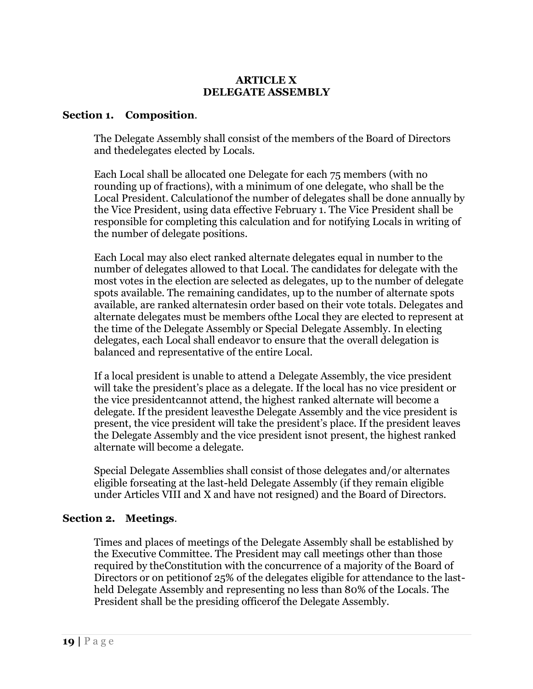#### **ARTICLE X DELEGATE ASSEMBLY**

#### **Section 1. Composition**.

The Delegate Assembly shall consist of the members of the Board of Directors and thedelegates elected by Locals.

Each Local shall be allocated one Delegate for each 75 members (with no rounding up of fractions), with a minimum of one delegate, who shall be the Local President. Calculationof the number of delegates shall be done annually by the Vice President, using data effective February 1. The Vice President shall be responsible for completing this calculation and for notifying Locals in writing of the number of delegate positions.

Each Local may also elect ranked alternate delegates equal in number to the number of delegates allowed to that Local. The candidates for delegate with the most votes in the election are selected as delegates, up to the number of delegate spots available. The remaining candidates, up to the number of alternate spots available, are ranked alternatesin order based on their vote totals. Delegates and alternate delegates must be members ofthe Local they are elected to represent at the time of the Delegate Assembly or Special Delegate Assembly. In electing delegates, each Local shall endeavor to ensure that the overall delegation is balanced and representative of the entire Local.

If a local president is unable to attend a Delegate Assembly, the vice president will take the president's place as a delegate. If the local has no vice president or the vice presidentcannot attend, the highest ranked alternate will become a delegate. If the president leavesthe Delegate Assembly and the vice president is present, the vice president will take the president's place. If the president leaves the Delegate Assembly and the vice president isnot present, the highest ranked alternate will become a delegate.

Special Delegate Assemblies shall consist of those delegates and/or alternates eligible forseating at the last-held Delegate Assembly (if they remain eligible under Articles VIII and X and have not resigned) and the Board of Directors.

#### **Section 2. Meetings**.

Times and places of meetings of the Delegate Assembly shall be established by the Executive Committee. The President may call meetings other than those required by theConstitution with the concurrence of a majority of the Board of Directors or on petitionof 25% of the delegates eligible for attendance to the lastheld Delegate Assembly and representing no less than 80% of the Locals. The President shall be the presiding officerof the Delegate Assembly.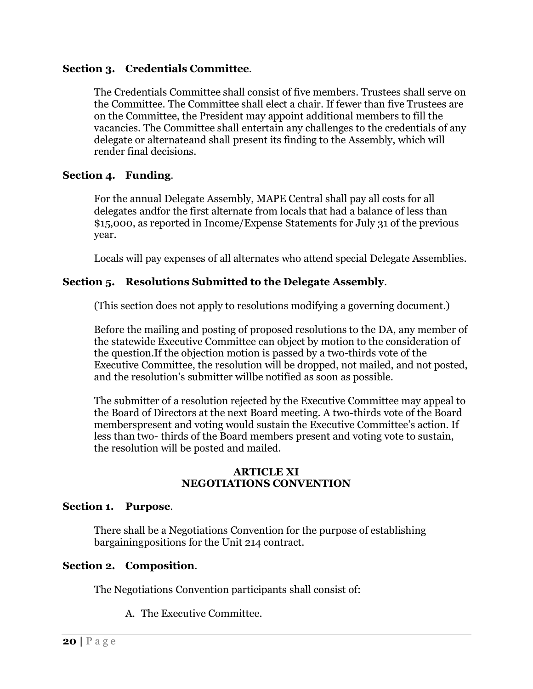### **Section 3. Credentials Committee**.

The Credentials Committee shall consist of five members. Trustees shall serve on the Committee. The Committee shall elect a chair. If fewer than five Trustees are on the Committee, the President may appoint additional members to fill the vacancies. The Committee shall entertain any challenges to the credentials of any delegate or alternateand shall present its finding to the Assembly, which will render final decisions.

### **Section 4. Funding**.

For the annual Delegate Assembly, MAPE Central shall pay all costs for all delegates andfor the first alternate from locals that had a balance of less than \$15,000, as reported in Income/Expense Statements for July 31 of the previous year.

Locals will pay expenses of all alternates who attend special Delegate Assemblies.

### **Section 5. Resolutions Submitted to the Delegate Assembly**.

(This section does not apply to resolutions modifying a governing document.)

Before the mailing and posting of proposed resolutions to the DA, any member of the statewide Executive Committee can object by motion to the consideration of the question.If the objection motion is passed by a two-thirds vote of the Executive Committee, the resolution will be dropped, not mailed, and not posted, and the resolution's submitter willbe notified as soon as possible.

The submitter of a resolution rejected by the Executive Committee may appeal to the Board of Directors at the next Board meeting. A two-thirds vote of the Board memberspresent and voting would sustain the Executive Committee's action. If less than two- thirds of the Board members present and voting vote to sustain, the resolution will be posted and mailed.

#### **ARTICLE XI NEGOTIATIONS CONVENTION**

#### **Section 1. Purpose**.

There shall be a Negotiations Convention for the purpose of establishing bargainingpositions for the Unit 214 contract.

#### **Section 2. Composition**.

The Negotiations Convention participants shall consist of:

A. The Executive Committee.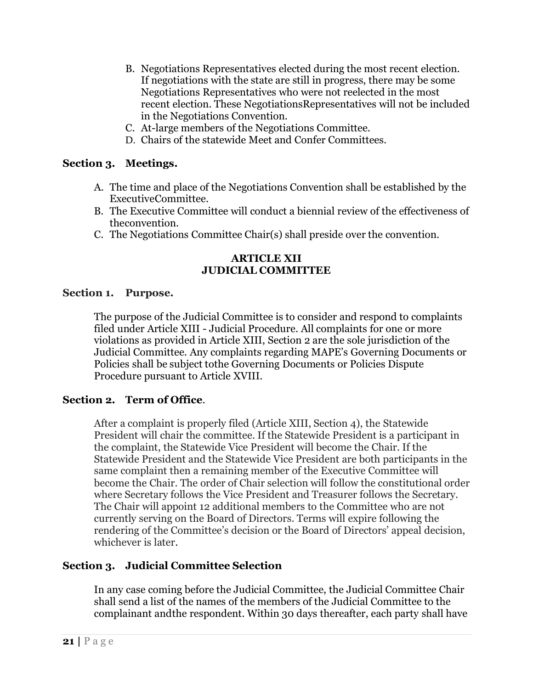- B. Negotiations Representatives elected during the most recent election. If negotiations with the state are still in progress, there may be some Negotiations Representatives who were not reelected in the most recent election. These NegotiationsRepresentatives will not be included in the Negotiations Convention.
- C. At-large members of the Negotiations Committee.
- D. Chairs of the statewide Meet and Confer Committees.

### **Section 3. Meetings.**

- A. The time and place of the Negotiations Convention shall be established by the ExecutiveCommittee.
- B. The Executive Committee will conduct a biennial review of the effectiveness of theconvention.
- C. The Negotiations Committee Chair(s) shall preside over the convention.

### **ARTICLE XII JUDICIAL COMMITTEE**

#### **Section 1. Purpose.**

The purpose of the Judicial Committee is to consider and respond to complaints filed under Article XIII - Judicial Procedure. All complaints for one or more violations as provided in Article XIII, Section 2 are the sole jurisdiction of the Judicial Committee. Any complaints regarding MAPE's Governing Documents or Policies shall be subject tothe Governing Documents or Policies Dispute Procedure pursuant to Article XVIII.

#### **Section 2. Term of Office**.

After a complaint is properly filed (Article XIII, Section 4), the Statewide President will chair the committee. If the Statewide President is a participant in the complaint, the Statewide Vice President will become the Chair. If the Statewide President and the Statewide Vice President are both participants in the same complaint then a remaining member of the Executive Committee will become the Chair. The order of Chair selection will follow the constitutional order where Secretary follows the Vice President and Treasurer follows the Secretary. The Chair will appoint 12 additional members to the Committee who are not currently serving on the Board of Directors. Terms will expire following the rendering of the Committee's decision or the Board of Directors' appeal decision, whichever is later.

## **Section 3. Judicial Committee Selection**

In any case coming before the Judicial Committee, the Judicial Committee Chair shall send a list of the names of the members of the Judicial Committee to the complainant andthe respondent. Within 30 days thereafter, each party shall have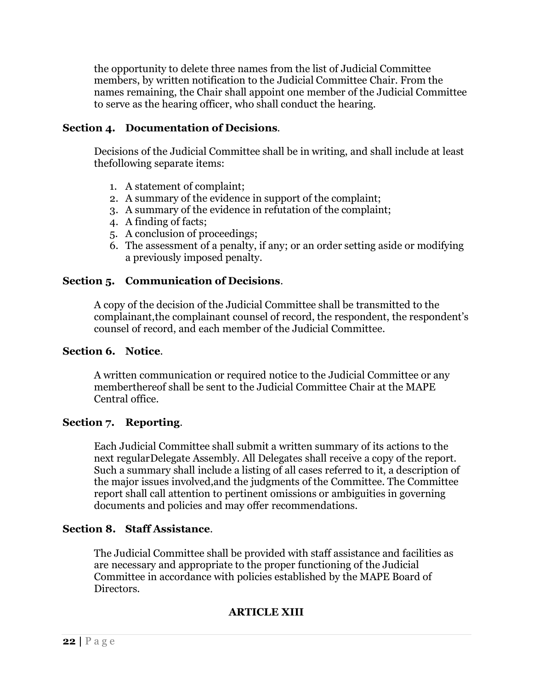the opportunity to delete three names from the list of Judicial Committee members, by written notification to the Judicial Committee Chair. From the names remaining, the Chair shall appoint one member of the Judicial Committee to serve as the hearing officer, who shall conduct the hearing.

### **Section 4. Documentation of Decisions**.

Decisions of the Judicial Committee shall be in writing, and shall include at least thefollowing separate items:

- 1. A statement of complaint;
- 2. A summary of the evidence in support of the complaint;
- 3. A summary of the evidence in refutation of the complaint;
- 4. A finding of facts;
- 5. A conclusion of proceedings;
- 6. The assessment of a penalty, if any; or an order setting aside or modifying a previously imposed penalty.

### **Section 5. Communication of Decisions**.

A copy of the decision of the Judicial Committee shall be transmitted to the complainant,the complainant counsel of record, the respondent, the respondent's counsel of record, and each member of the Judicial Committee.

#### **Section 6. Notice**.

A written communication or required notice to the Judicial Committee or any memberthereof shall be sent to the Judicial Committee Chair at the MAPE Central office.

#### **Section 7. Reporting**.

Each Judicial Committee shall submit a written summary of its actions to the next regularDelegate Assembly. All Delegates shall receive a copy of the report. Such a summary shall include a listing of all cases referred to it, a description of the major issues involved,and the judgments of the Committee. The Committee report shall call attention to pertinent omissions or ambiguities in governing documents and policies and may offer recommendations.

#### **Section 8. Staff Assistance**.

The Judicial Committee shall be provided with staff assistance and facilities as are necessary and appropriate to the proper functioning of the Judicial Committee in accordance with policies established by the MAPE Board of Directors.

## **ARTICLE XIII**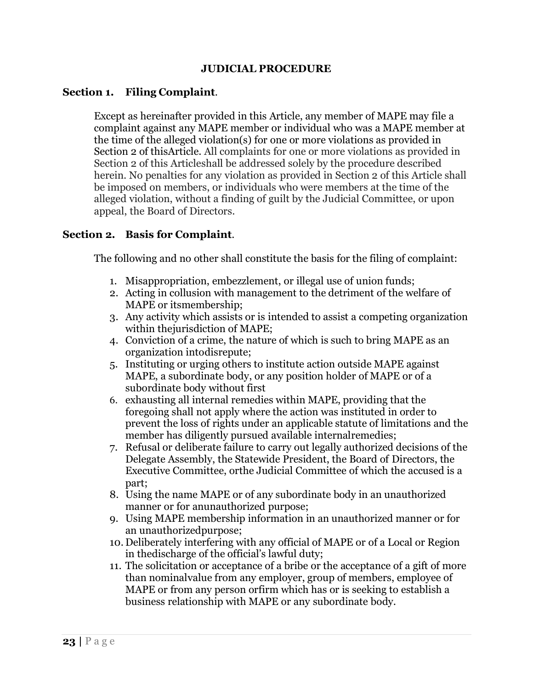### **JUDICIAL PROCEDURE**

#### **Section 1. Filing Complaint**.

Except as hereinafter provided in this Article, any member of MAPE may file a complaint against any MAPE member or individual who was a MAPE member at the time of the alleged violation(s) for one or more violations as provided in Section 2 of thisArticle. All complaints for one or more violations as provided in Section 2 of this Articleshall be addressed solely by the procedure described herein. No penalties for any violation as provided in Section 2 of this Article shall be imposed on members, or individuals who were members at the time of the alleged violation, without a finding of guilt by the Judicial Committee, or upon appeal, the Board of Directors.

### **Section 2. Basis for Complaint**.

The following and no other shall constitute the basis for the filing of complaint:

- 1. Misappropriation, embezzlement, or illegal use of union funds;
- 2. Acting in collusion with management to the detriment of the welfare of MAPE or itsmembership;
- 3. Any activity which assists or is intended to assist a competing organization within thejurisdiction of MAPE;
- 4. Conviction of a crime, the nature of which is such to bring MAPE as an organization intodisrepute;
- 5. Instituting or urging others to institute action outside MAPE against MAPE, a subordinate body, or any position holder of MAPE or of a subordinate body without first
- 6. exhausting all internal remedies within MAPE, providing that the foregoing shall not apply where the action was instituted in order to prevent the loss of rights under an applicable statute of limitations and the member has diligently pursued available internalremedies;
- 7. Refusal or deliberate failure to carry out legally authorized decisions of the Delegate Assembly, the Statewide President, the Board of Directors, the Executive Committee, orthe Judicial Committee of which the accused is a part;
- 8. Using the name MAPE or of any subordinate body in an unauthorized manner or for anunauthorized purpose;
- 9. Using MAPE membership information in an unauthorized manner or for an unauthorizedpurpose;
- 10. Deliberately interfering with any official of MAPE or of a Local or Region in thedischarge of the official's lawful duty;
- 11. The solicitation or acceptance of a bribe or the acceptance of a gift of more than nominalvalue from any employer, group of members, employee of MAPE or from any person orfirm which has or is seeking to establish a business relationship with MAPE or any subordinate body.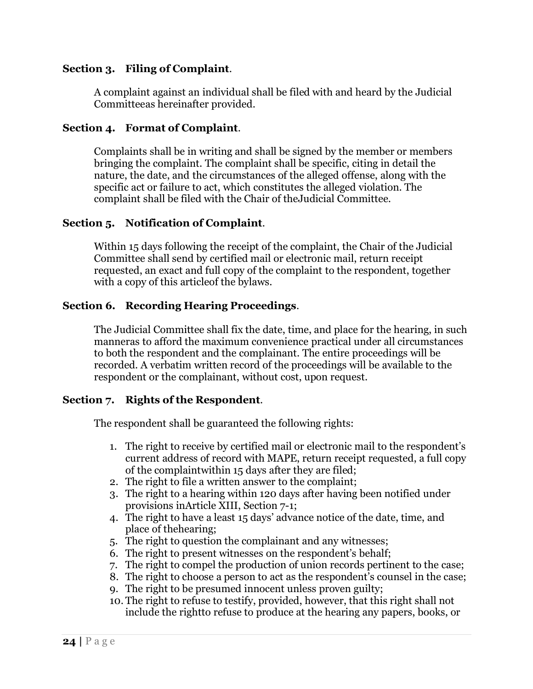### **Section 3. Filing of Complaint**.

A complaint against an individual shall be filed with and heard by the Judicial Committeeas hereinafter provided.

### **Section 4. Format of Complaint**.

Complaints shall be in writing and shall be signed by the member or members bringing the complaint. The complaint shall be specific, citing in detail the nature, the date, and the circumstances of the alleged offense, along with the specific act or failure to act, which constitutes the alleged violation. The complaint shall be filed with the Chair of theJudicial Committee.

### **Section 5. Notification of Complaint**.

Within 15 days following the receipt of the complaint, the Chair of the Judicial Committee shall send by certified mail or electronic mail, return receipt requested, an exact and full copy of the complaint to the respondent, together with a copy of this articleof the bylaws.

### **Section 6. Recording Hearing Proceedings**.

The Judicial Committee shall fix the date, time, and place for the hearing, in such manneras to afford the maximum convenience practical under all circumstances to both the respondent and the complainant. The entire proceedings will be recorded. A verbatim written record of the proceedings will be available to the respondent or the complainant, without cost, upon request.

#### **Section 7. Rights of the Respondent**.

The respondent shall be guaranteed the following rights:

- 1. The right to receive by certified mail or electronic mail to the respondent's current address of record with MAPE, return receipt requested, a full copy of the complaintwithin 15 days after they are filed;
- 2. The right to file a written answer to the complaint;
- 3. The right to a hearing within 120 days after having been notified under provisions inArticle XIII, Section 7-1;
- 4. The right to have a least 15 days' advance notice of the date, time, and place of thehearing;
- 5. The right to question the complainant and any witnesses;
- 6. The right to present witnesses on the respondent's behalf;
- 7. The right to compel the production of union records pertinent to the case;
- 8. The right to choose a person to act as the respondent's counsel in the case;
- 9. The right to be presumed innocent unless proven guilty;
- 10. The right to refuse to testify, provided, however, that this right shall not include the rightto refuse to produce at the hearing any papers, books, or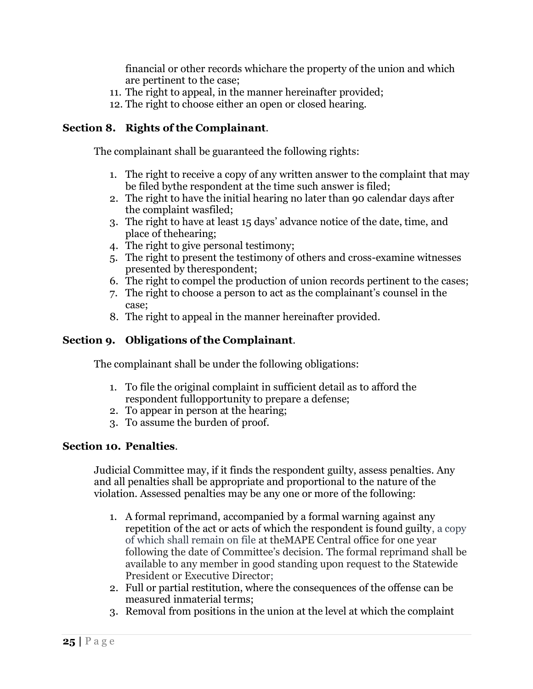financial or other records whichare the property of the union and which are pertinent to the case;

- 11. The right to appeal, in the manner hereinafter provided;
- 12. The right to choose either an open or closed hearing.

## **Section 8. Rights of the Complainant**.

The complainant shall be guaranteed the following rights:

- 1. The right to receive a copy of any written answer to the complaint that may be filed bythe respondent at the time such answer is filed;
- 2. The right to have the initial hearing no later than 90 calendar days after the complaint wasfiled;
- 3. The right to have at least 15 days' advance notice of the date, time, and place of thehearing;
- 4. The right to give personal testimony;
- 5. The right to present the testimony of others and cross-examine witnesses presented by therespondent;
- 6. The right to compel the production of union records pertinent to the cases;
- 7. The right to choose a person to act as the complainant's counsel in the case;
- 8. The right to appeal in the manner hereinafter provided.

## **Section 9. Obligations of the Complainant**.

The complainant shall be under the following obligations:

- 1. To file the original complaint in sufficient detail as to afford the respondent fullopportunity to prepare a defense;
- 2. To appear in person at the hearing;
- 3. To assume the burden of proof.

## **Section 10. Penalties**.

Judicial Committee may, if it finds the respondent guilty, assess penalties. Any and all penalties shall be appropriate and proportional to the nature of the violation. Assessed penalties may be any one or more of the following:

- 1. A formal reprimand, accompanied by a formal warning against any repetition of the act or acts of which the respondent is found guilty, a copy of which shall remain on file at theMAPE Central office for one year following the date of Committee's decision. The formal reprimand shall be available to any member in good standing upon request to the Statewide President or Executive Director;
- 2. Full or partial restitution, where the consequences of the offense can be measured inmaterial terms;
- 3. Removal from positions in the union at the level at which the complaint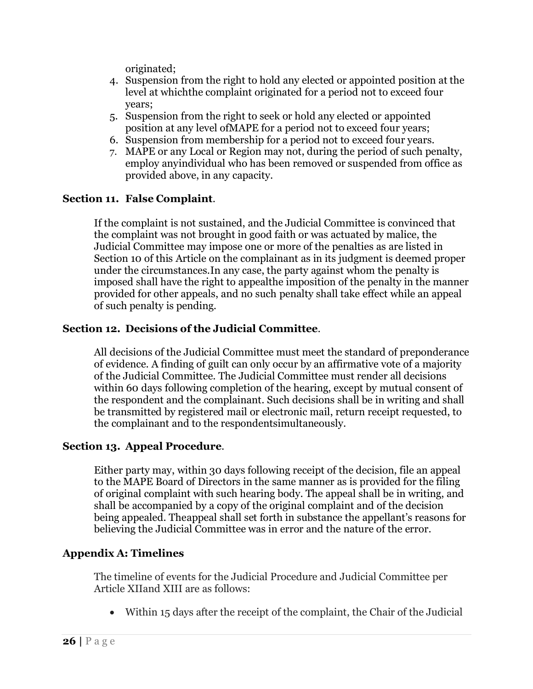originated;

- 4. Suspension from the right to hold any elected or appointed position at the level at whichthe complaint originated for a period not to exceed four years;
- 5. Suspension from the right to seek or hold any elected or appointed position at any level ofMAPE for a period not to exceed four years;
- 6. Suspension from membership for a period not to exceed four years.
- 7. MAPE or any Local or Region may not, during the period of such penalty, employ anyindividual who has been removed or suspended from office as provided above, in any capacity.

## **Section 11. False Complaint**.

If the complaint is not sustained, and the Judicial Committee is convinced that the complaint was not brought in good faith or was actuated by malice, the Judicial Committee may impose one or more of the penalties as are listed in Section 10 of this Article on the complainant as in its judgment is deemed proper under the circumstances.In any case, the party against whom the penalty is imposed shall have the right to appealthe imposition of the penalty in the manner provided for other appeals, and no such penalty shall take effect while an appeal of such penalty is pending.

## **Section 12. Decisions of the Judicial Committee**.

All decisions of the Judicial Committee must meet the standard of preponderance of evidence. A finding of guilt can only occur by an affirmative vote of a majority of the Judicial Committee. The Judicial Committee must render all decisions within 60 days following completion of the hearing, except by mutual consent of the respondent and the complainant. Such decisions shall be in writing and shall be transmitted by registered mail or electronic mail, return receipt requested, to the complainant and to the respondentsimultaneously.

## **Section 13. Appeal Procedure**.

Either party may, within 30 days following receipt of the decision, file an appeal to the MAPE Board of Directors in the same manner as is provided for the filing of original complaint with such hearing body. The appeal shall be in writing, and shall be accompanied by a copy of the original complaint and of the decision being appealed. Theappeal shall set forth in substance the appellant's reasons for believing the Judicial Committee was in error and the nature of the error.

## **Appendix A: Timelines**

The timeline of events for the Judicial Procedure and Judicial Committee per Article XIIand XIII are as follows:

• Within 15 days after the receipt of the complaint, the Chair of the Judicial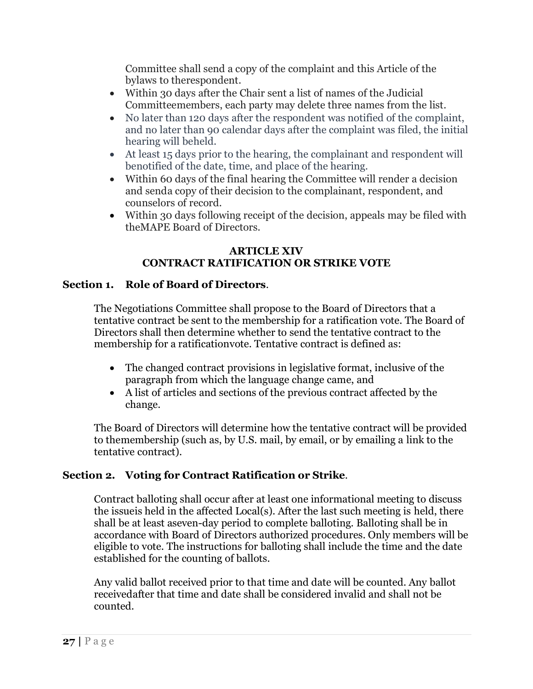Committee shall send a copy of the complaint and this Article of the bylaws to therespondent.

- Within 30 days after the Chair sent a list of names of the Judicial Committeemembers, each party may delete three names from the list.
- No later than 120 days after the respondent was notified of the complaint, and no later than 90 calendar days after the complaint was filed, the initial hearing will beheld.
- At least 15 days prior to the hearing, the complainant and respondent will benotified of the date, time, and place of the hearing.
- Within 60 days of the final hearing the Committee will render a decision and senda copy of their decision to the complainant, respondent, and counselors of record.
- Within 30 days following receipt of the decision, appeals may be filed with theMAPE Board of Directors.

## **ARTICLE XIV CONTRACT RATIFICATION OR STRIKE VOTE**

## **Section 1. Role of Board of Directors**.

The Negotiations Committee shall propose to the Board of Directors that a tentative contract be sent to the membership for a ratification vote. The Board of Directors shall then determine whether to send the tentative contract to the membership for a ratificationvote. Tentative contract is defined as:

- The changed contract provisions in legislative format, inclusive of the paragraph from which the language change came, and
- A list of articles and sections of the previous contract affected by the change.

The Board of Directors will determine how the tentative contract will be provided to themembership (such as, by U.S. mail, by email, or by emailing a link to the tentative contract).

## **Section 2. Voting for Contract Ratification or Strike**.

Contract balloting shall occur after at least one informational meeting to discuss the issueis held in the affected Local(s). After the last such meeting is held, there shall be at least aseven-day period to complete balloting. Balloting shall be in accordance with Board of Directors authorized procedures. Only members will be eligible to vote. The instructions for balloting shall include the time and the date established for the counting of ballots.

Any valid ballot received prior to that time and date will be counted. Any ballot receivedafter that time and date shall be considered invalid and shall not be counted.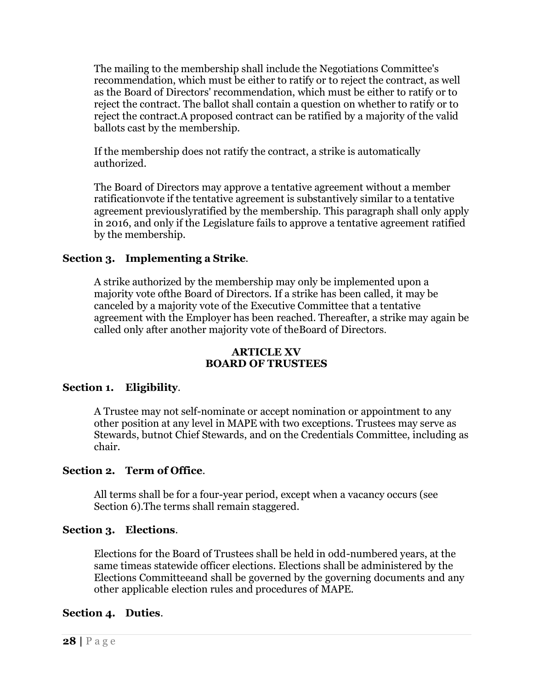The mailing to the membership shall include the Negotiations Committee's recommendation, which must be either to ratify or to reject the contract, as well as the Board of Directors' recommendation, which must be either to ratify or to reject the contract. The ballot shall contain a question on whether to ratify or to reject the contract.A proposed contract can be ratified by a majority of the valid ballots cast by the membership.

If the membership does not ratify the contract, a strike is automatically authorized.

The Board of Directors may approve a tentative agreement without a member ratificationvote if the tentative agreement is substantively similar to a tentative agreement previouslyratified by the membership. This paragraph shall only apply in 2016, and only if the Legislature fails to approve a tentative agreement ratified by the membership.

## **Section 3. Implementing a Strike**.

A strike authorized by the membership may only be implemented upon a majority vote ofthe Board of Directors. If a strike has been called, it may be canceled by a majority vote of the Executive Committee that a tentative agreement with the Employer has been reached. Thereafter, a strike may again be called only after another majority vote of theBoard of Directors.

### **ARTICLE XV BOARD OF TRUSTEES**

## **Section 1. Eligibility**.

A Trustee may not self-nominate or accept nomination or appointment to any other position at any level in MAPE with two exceptions. Trustees may serve as Stewards, butnot Chief Stewards, and on the Credentials Committee, including as chair.

## **Section 2. Term of Office**.

All terms shall be for a four-year period, except when a vacancy occurs (see Section 6).The terms shall remain staggered.

## **Section 3. Elections**.

Elections for the Board of Trustees shall be held in odd-numbered years, at the same timeas statewide officer elections. Elections shall be administered by the Elections Committeeand shall be governed by the governing documents and any other applicable election rules and procedures of MAPE.

## **Section 4. Duties**.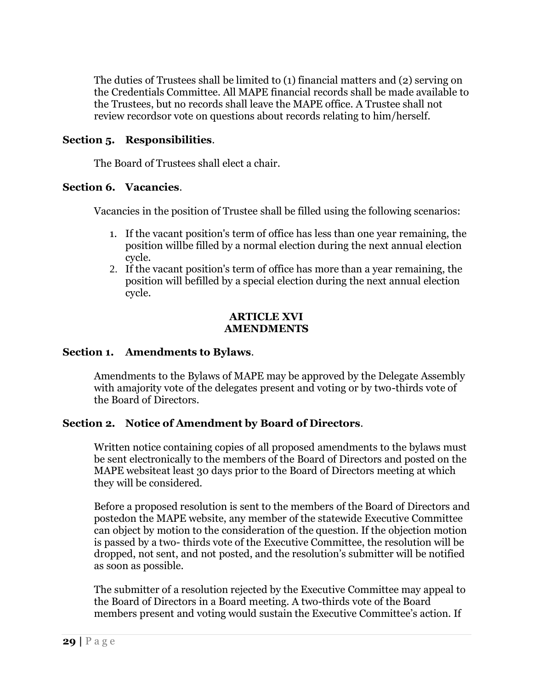The duties of Trustees shall be limited to (1) financial matters and (2) serving on the Credentials Committee. All MAPE financial records shall be made available to the Trustees, but no records shall leave the MAPE office. A Trustee shall not review recordsor vote on questions about records relating to him/herself.

### **Section 5. Responsibilities**.

The Board of Trustees shall elect a chair.

#### **Section 6. Vacancies**.

Vacancies in the position of Trustee shall be filled using the following scenarios:

- 1. If the vacant position's term of office has less than one year remaining, the position willbe filled by a normal election during the next annual election cycle.
- 2. If the vacant position's term of office has more than a year remaining, the position will befilled by a special election during the next annual election cycle.

#### **ARTICLE XVI AMENDMENTS**

## **Section 1. Amendments to Bylaws**.

Amendments to the Bylaws of MAPE may be approved by the Delegate Assembly with amajority vote of the delegates present and voting or by two-thirds vote of the Board of Directors.

## **Section 2. Notice of Amendment by Board of Directors**.

Written notice containing copies of all proposed amendments to the bylaws must be sent electronically to the members of the Board of Directors and posted on the MAPE websiteat least 30 days prior to the Board of Directors meeting at which they will be considered.

Before a proposed resolution is sent to the members of the Board of Directors and postedon the MAPE website, any member of the statewide Executive Committee can object by motion to the consideration of the question. If the objection motion is passed by a two- thirds vote of the Executive Committee, the resolution will be dropped, not sent, and not posted, and the resolution's submitter will be notified as soon as possible.

The submitter of a resolution rejected by the Executive Committee may appeal to the Board of Directors in a Board meeting. A two-thirds vote of the Board members present and voting would sustain the Executive Committee's action. If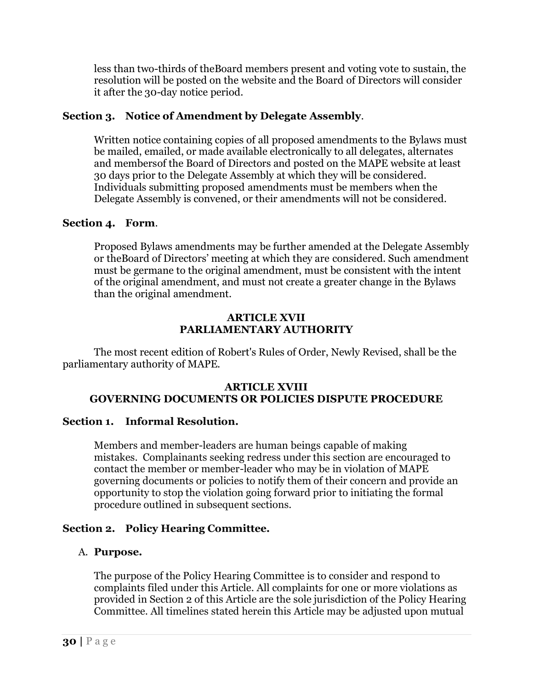less than two-thirds of theBoard members present and voting vote to sustain, the resolution will be posted on the website and the Board of Directors will consider it after the 30-day notice period.

## **Section 3. Notice of Amendment by Delegate Assembly**.

Written notice containing copies of all proposed amendments to the Bylaws must be mailed, emailed, or made available electronically to all delegates, alternates and membersof the Board of Directors and posted on the MAPE website at least 30 days prior to the Delegate Assembly at which they will be considered. Individuals submitting proposed amendments must be members when the Delegate Assembly is convened, or their amendments will not be considered.

#### **Section 4. Form**.

Proposed Bylaws amendments may be further amended at the Delegate Assembly or theBoard of Directors' meeting at which they are considered. Such amendment must be germane to the original amendment, must be consistent with the intent of the original amendment, and must not create a greater change in the Bylaws than the original amendment.

#### **ARTICLE XVII PARLIAMENTARY AUTHORITY**

The most recent edition of Robert's Rules of Order, Newly Revised, shall be the parliamentary authority of MAPE.

#### **ARTICLE XVIII GOVERNING DOCUMENTS OR POLICIES DISPUTE PROCEDURE**

#### **Section 1. Informal Resolution.**

Members and member-leaders are human beings capable of making mistakes. Complainants seeking redress under this section are encouraged to contact the member or member-leader who may be in violation of MAPE governing documents or policies to notify them of their concern and provide an opportunity to stop the violation going forward prior to initiating the formal procedure outlined in subsequent sections.

## **Section 2. Policy Hearing Committee.**

## A. **Purpose.**

The purpose of the Policy Hearing Committee is to consider and respond to complaints filed under this Article. All complaints for one or more violations as provided in Section 2 of this Article are the sole jurisdiction of the Policy Hearing Committee. All timelines stated herein this Article may be adjusted upon mutual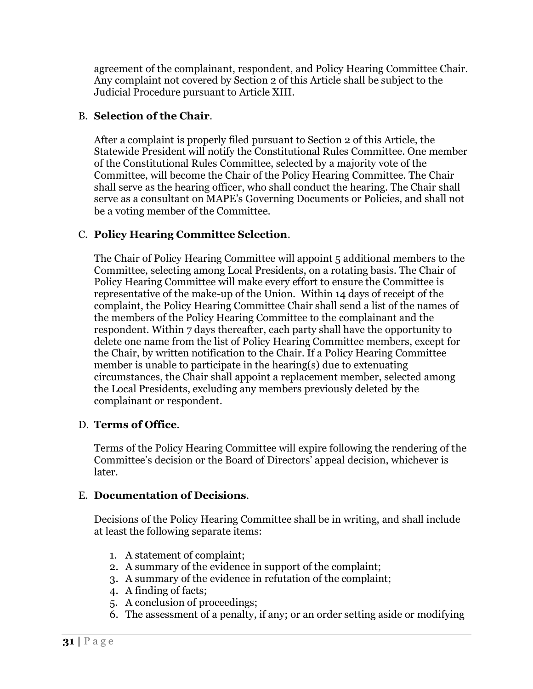agreement of the complainant, respondent, and Policy Hearing Committee Chair. Any complaint not covered by Section 2 of this Article shall be subject to the Judicial Procedure pursuant to Article XIII.

## B. **Selection of the Chair**.

After a complaint is properly filed pursuant to Section 2 of this Article, the Statewide President will notify the Constitutional Rules Committee. One member of the Constitutional Rules Committee, selected by a majority vote of the Committee, will become the Chair of the Policy Hearing Committee. The Chair shall serve as the hearing officer, who shall conduct the hearing. The Chair shall serve as a consultant on MAPE's Governing Documents or Policies, and shall not be a voting member of the Committee.

## C. **Policy Hearing Committee Selection**.

The Chair of Policy Hearing Committee will appoint 5 additional members to the Committee, selecting among Local Presidents, on a rotating basis. The Chair of Policy Hearing Committee will make every effort to ensure the Committee is representative of the make-up of the Union. Within 14 days of receipt of the complaint, the Policy Hearing Committee Chair shall send a list of the names of the members of the Policy Hearing Committee to the complainant and the respondent. Within 7 days thereafter, each party shall have the opportunity to delete one name from the list of Policy Hearing Committee members, except for the Chair, by written notification to the Chair. If a Policy Hearing Committee member is unable to participate in the hearing(s) due to extenuating circumstances, the Chair shall appoint a replacement member, selected among the Local Presidents, excluding any members previously deleted by the complainant or respondent.

## D. **Terms of Office**.

Terms of the Policy Hearing Committee will expire following the rendering of the Committee's decision or the Board of Directors' appeal decision, whichever is later.

## E. **Documentation of Decisions**.

Decisions of the Policy Hearing Committee shall be in writing, and shall include at least the following separate items:

- 1. A statement of complaint;
- 2. A summary of the evidence in support of the complaint;
- 3. A summary of the evidence in refutation of the complaint;
- 4. A finding of facts;
- 5. A conclusion of proceedings;
- 6. The assessment of a penalty, if any; or an order setting aside or modifying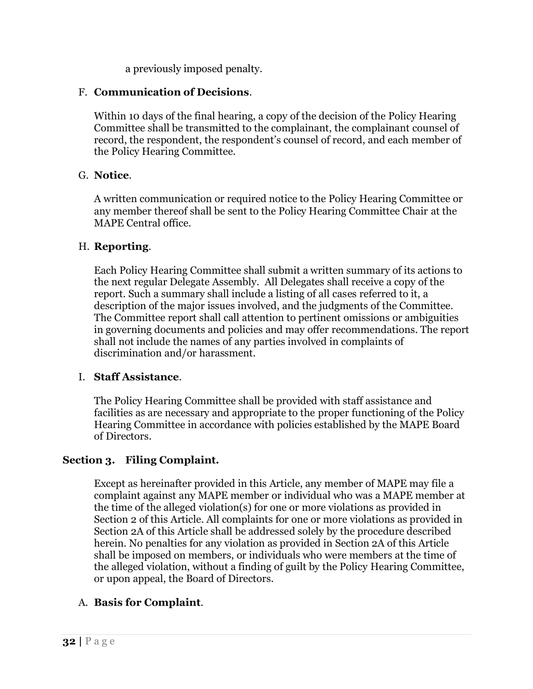a previously imposed penalty.

## F. **Communication of Decisions**.

Within 10 days of the final hearing, a copy of the decision of the Policy Hearing Committee shall be transmitted to the complainant, the complainant counsel of record, the respondent, the respondent's counsel of record, and each member of the Policy Hearing Committee.

## G. **Notice**.

A written communication or required notice to the Policy Hearing Committee or any member thereof shall be sent to the Policy Hearing Committee Chair at the MAPE Central office.

### H. **Reporting**.

Each Policy Hearing Committee shall submit a written summary of its actions to the next regular Delegate Assembly. All Delegates shall receive a copy of the report. Such a summary shall include a listing of all cases referred to it, a description of the major issues involved, and the judgments of the Committee. The Committee report shall call attention to pertinent omissions or ambiguities in governing documents and policies and may offer recommendations. The report shall not include the names of any parties involved in complaints of discrimination and/or harassment.

## I. **Staff Assistance**.

The Policy Hearing Committee shall be provided with staff assistance and facilities as are necessary and appropriate to the proper functioning of the Policy Hearing Committee in accordance with policies established by the MAPE Board of Directors.

## **Section 3. Filing Complaint.**

Except as hereinafter provided in this Article, any member of MAPE may file a complaint against any MAPE member or individual who was a MAPE member at the time of the alleged violation(s) for one or more violations as provided in Section 2 of this Article. All complaints for one or more violations as provided in Section 2A of this Article shall be addressed solely by the procedure described herein. No penalties for any violation as provided in Section 2A of this Article shall be imposed on members, or individuals who were members at the time of the alleged violation, without a finding of guilt by the Policy Hearing Committee, or upon appeal, the Board of Directors.

## A. **Basis for Complaint**.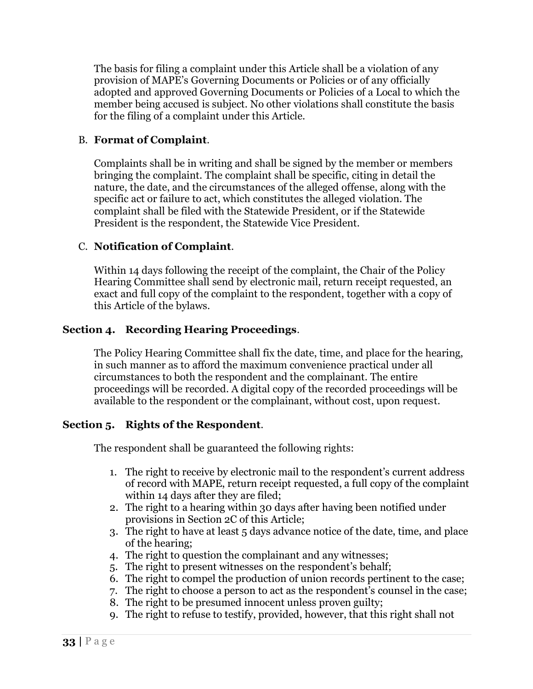The basis for filing a complaint under this Article shall be a violation of any provision of MAPE's Governing Documents or Policies or of any officially adopted and approved Governing Documents or Policies of a Local to which the member being accused is subject. No other violations shall constitute the basis for the filing of a complaint under this Article.

### B. **Format of Complaint**.

Complaints shall be in writing and shall be signed by the member or members bringing the complaint. The complaint shall be specific, citing in detail the nature, the date, and the circumstances of the alleged offense, along with the specific act or failure to act, which constitutes the alleged violation. The complaint shall be filed with the Statewide President, or if the Statewide President is the respondent, the Statewide Vice President.

### C. **Notification of Complaint**.

Within 14 days following the receipt of the complaint, the Chair of the Policy Hearing Committee shall send by electronic mail, return receipt requested, an exact and full copy of the complaint to the respondent, together with a copy of this Article of the bylaws.

### **Section 4. Recording Hearing Proceedings**.

The Policy Hearing Committee shall fix the date, time, and place for the hearing, in such manner as to afford the maximum convenience practical under all circumstances to both the respondent and the complainant. The entire proceedings will be recorded. A digital copy of the recorded proceedings will be available to the respondent or the complainant, without cost, upon request.

#### **Section 5. Rights of the Respondent**.

The respondent shall be guaranteed the following rights:

- 1. The right to receive by electronic mail to the respondent's current address of record with MAPE, return receipt requested, a full copy of the complaint within 14 days after they are filed;
- 2. The right to a hearing within 30 days after having been notified under provisions in Section 2C of this Article;
- 3. The right to have at least 5 days advance notice of the date, time, and place of the hearing;
- 4. The right to question the complainant and any witnesses;
- 5. The right to present witnesses on the respondent's behalf;
- 6. The right to compel the production of union records pertinent to the case;
- 7. The right to choose a person to act as the respondent's counsel in the case;
- 8. The right to be presumed innocent unless proven guilty;
- 9. The right to refuse to testify, provided, however, that this right shall not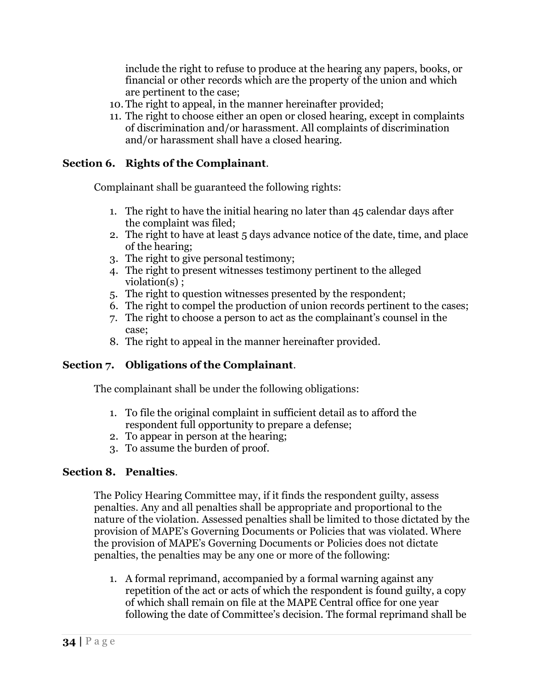include the right to refuse to produce at the hearing any papers, books, or financial or other records which are the property of the union and which are pertinent to the case;

- 10. The right to appeal, in the manner hereinafter provided;
- 11. The right to choose either an open or closed hearing, except in complaints of discrimination and/or harassment. All complaints of discrimination and/or harassment shall have a closed hearing.

## **Section 6. Rights of the Complainant**.

Complainant shall be guaranteed the following rights:

- 1. The right to have the initial hearing no later than 45 calendar days after the complaint was filed;
- 2. The right to have at least 5 days advance notice of the date, time, and place of the hearing;
- 3. The right to give personal testimony;
- 4. The right to present witnesses testimony pertinent to the alleged violation(s) ;
- 5. The right to question witnesses presented by the respondent;
- 6. The right to compel the production of union records pertinent to the cases;
- 7. The right to choose a person to act as the complainant's counsel in the case;
- 8. The right to appeal in the manner hereinafter provided.

## **Section 7. Obligations of the Complainant**.

The complainant shall be under the following obligations:

- 1. To file the original complaint in sufficient detail as to afford the respondent full opportunity to prepare a defense;
- 2. To appear in person at the hearing;
- 3. To assume the burden of proof.

## **Section 8. Penalties**.

The Policy Hearing Committee may, if it finds the respondent guilty, assess penalties. Any and all penalties shall be appropriate and proportional to the nature of the violation. Assessed penalties shall be limited to those dictated by the provision of MAPE's Governing Documents or Policies that was violated. Where the provision of MAPE's Governing Documents or Policies does not dictate penalties, the penalties may be any one or more of the following:

1. A formal reprimand, accompanied by a formal warning against any repetition of the act or acts of which the respondent is found guilty, a copy of which shall remain on file at the MAPE Central office for one year following the date of Committee's decision. The formal reprimand shall be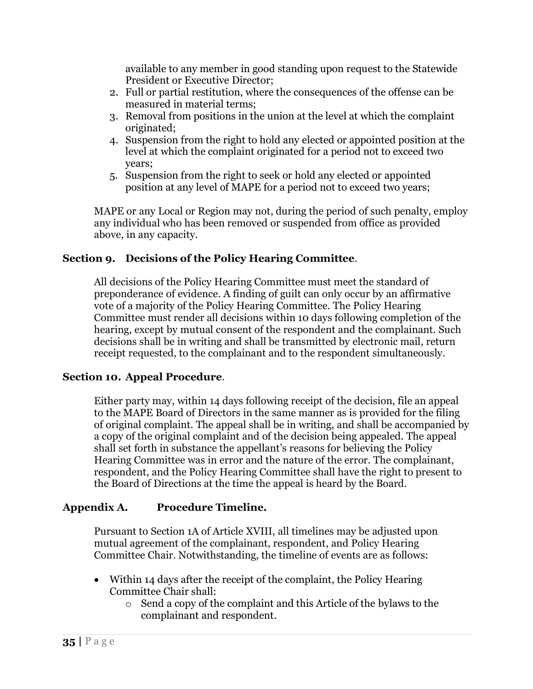available to any member in good standing upon request to the Statewide President or Executive Director;

- 2. Full or partial restitution, where the consequences of the offense can be measured in material terms;
- 3. Removal from positions in the union at the level at which the complaint originated;
- 4. Suspension from the right to hold any elected or appointed position at the level at which the complaint originated for a period not to exceed two years;
- 5. Suspension from the right to seek or hold any elected or appointed position at any level of MAPE for a period not to exceed two years;

MAPE or any Local or Region may not, during the period of such penalty, employ any individual who has been removed or suspended from office as provided above, in any capacity.

## **Section 9. Decisions of the Policy Hearing Committee**.

All decisions of the Policy Hearing Committee must meet the standard of preponderance of evidence. A finding of guilt can only occur by an affirmative vote of a majority of the Policy Hearing Committee. The Policy Hearing Committee must render all decisions within 10 days following completion of the hearing, except by mutual consent of the respondent and the complainant. Such decisions shall be in writing and shall be transmitted by electronic mail, return receipt requested, to the complainant and to the respondent simultaneously.

## **Section 10. Appeal Procedure**.

Either party may, within 14 days following receipt of the decision, file an appeal to the MAPE Board of Directors in the same manner as is provided for the filing of original complaint. The appeal shall be in writing, and shall be accompanied by a copy of the original complaint and of the decision being appealed. The appeal shall set forth in substance the appellant's reasons for believing the Policy Hearing Committee was in error and the nature of the error. The complainant, respondent, and the Policy Hearing Committee shall have the right to present to the Board of Directions at the time the appeal is heard by the Board.

## **Appendix A. Procedure Timeline.**

Pursuant to Section 1A of Article XVIII, all timelines may be adjusted upon mutual agreement of the complainant, respondent, and Policy Hearing Committee Chair. Notwithstanding, the timeline of events are as follows:

- Within 14 days after the receipt of the complaint, the Policy Hearing Committee Chair shall:
	- o Send a copy of the complaint and this Article of the bylaws to the complainant and respondent.